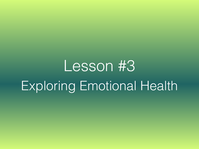# Lesson #3 Exploring Emotional Health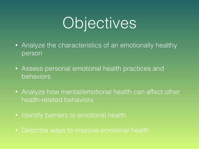# Objectives

- Analyze the characteristics of an emotionally healthy person
- Assess personal emotional health practices and behaviors
- Analyze how mental/emotional health can affect other health-related behaviors
- Identify barriers to emotional health
- Describe ways to improve emotional health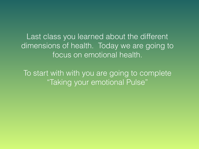Last class you learned about the different dimensions of health. Today we are going to focus on emotional health.

To start with with you are going to complete "Taking your emotional Pulse"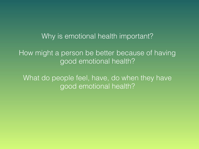## Why is emotional health important?

How might a person be better because of having good emotional health?

What do people feel, have, do when they have good emotional health?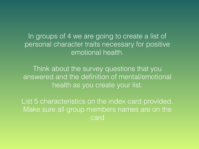In groups of 4 we are going to create a list of personal character traits necessary for positive emotional health.

Think about the survey questions that you answered and the definition of mental/emotional health as you create your list.

List 5 characteristics on the index card provided. Make sure all group members names are on the card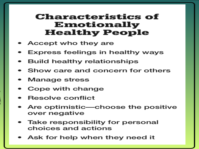## **Characteristics of Emotionally Healthy People**

- Accept who they are
- Express feelings in healthy ways
- **Build healthy relationships**
- $\cdot$  Show care and concern for others
- Manage stress
- Cope with change •
- $\cdot$  Resolve conflict
- Are optimistic—choose the positive over negative
- Take responsibility for personal choices and actions
- Ask for help when they need it  $\hspace{0.1mm}$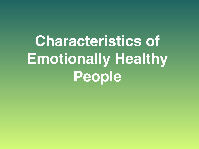**Characteristics of Emotionally Healthy People**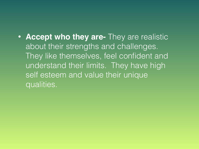## • **Accept who they are-** They are realistic about their strengths and challenges. They like themselves, feel confident and understand their limits. They have high self esteem and value their unique qualities.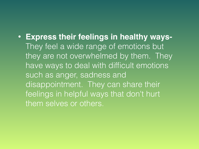## • **Express their feelings in healthy ways-**They feel a wide range of emotions but they are not overwhelmed by them. They

have ways to deal with difficult emotions such as anger, sadness and disappointment. They can share their feelings in helpful ways that don't hurt them selves or others.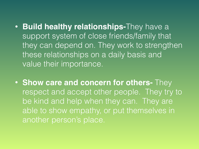- **Build healthy relationships-**They have a support system of close friends/family that they can depend on. They work to strengthen these relationships on a daily basis and value their importance.
- **Show care and concern for others-** They respect and accept other people. They try to be kind and help when they can. They are able to show empathy, or put themselves in another person's place.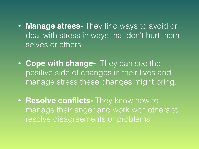- **Manage stress-** They find ways to avoid or deal with stress in ways that don't hurt them selves or others
- **Cope with change-** They can see the positive side of changes in their lives and manage stress these changes might bring.
- **Resolve conflicts-** They know how to manage their anger and work with others to resolve disagreements or problems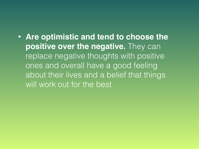## • **Are optimistic and tend to choose the positive over the negative.** They can replace negative thoughts with positive ones and overall have a good feeling about their lives and a belief that things will work out for the best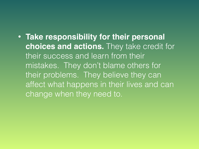• **Take responsibility for their personal choices and actions.** They take credit for their success and learn from their mistakes. They don't blame others for their problems. They believe they can affect what happens in their lives and can change when they need to.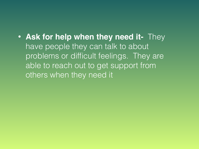• **Ask for help when they need it-** They have people they can talk to about problems or difficult feelings. They are able to reach out to get support from others when they need it